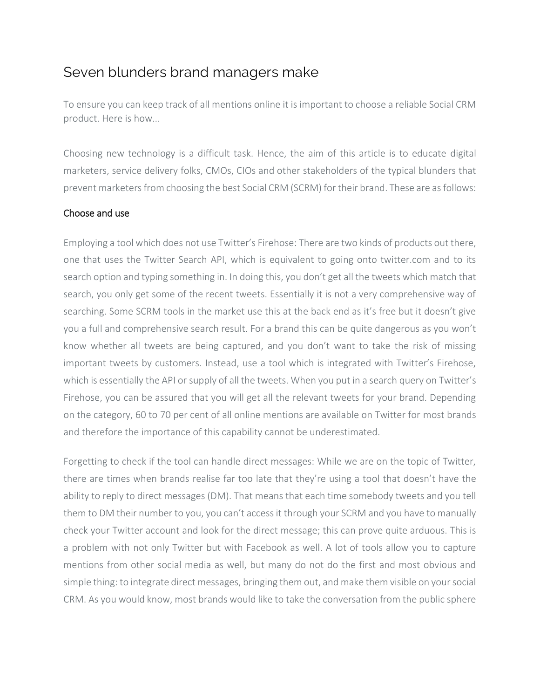## Seven blunders brand managers make

To ensure you can keep track of all mentions online it is important to choose a reliable Social CRM product. Here is how...

Choosing new technology is a difficult task. Hence, the aim of this article is to educate digital marketers, service delivery folks, CMOs, CIOs and other stakeholders of the typical blunders that prevent marketers from choosing the best Social CRM (SCRM) for their brand. These are as follows:

## Choose and use

Employing a tool which does not use Twitter's Firehose: There are two kinds of products out there, one that uses the Twitter Search API, which is equivalent to going onto twitter.com and to its search option and typing something in. In doing this, you don't get all the tweets which match that search, you only get some of the recent tweets. Essentially it is not a very comprehensive way of searching. Some SCRM tools in the market use this at the back end as it's free but it doesn't give you a full and comprehensive search result. For a brand this can be quite dangerous as you won't know whether all tweets are being captured, and you don't want to take the risk of missing important tweets by customers. Instead, use a tool which is integrated with Twitter's Firehose, which is essentially the API or supply of all the tweets. When you put in a search query on Twitter's Firehose, you can be assured that you will get all the relevant tweets for your brand. Depending on the category, 60 to 70 per cent of all online mentions are available on Twitter for most brands and therefore the importance of this capability cannot be underestimated.

Forgetting to check if the tool can handle direct messages: While we are on the topic of Twitter, there are times when brands realise far too late that they're using a tool that doesn't have the ability to reply to direct messages (DM). That means that each time somebody tweets and you tell them to DM their number to you, you can't access it through your SCRM and you have to manually check your Twitter account and look for the direct message; this can prove quite arduous. This is a problem with not only Twitter but with Facebook as well. A lot of tools allow you to capture mentions from other social media as well, but many do not do the first and most obvious and simple thing: to integrate direct messages, bringing them out, and make them visible on your social CRM. As you would know, most brands would like to take the conversation from the public sphere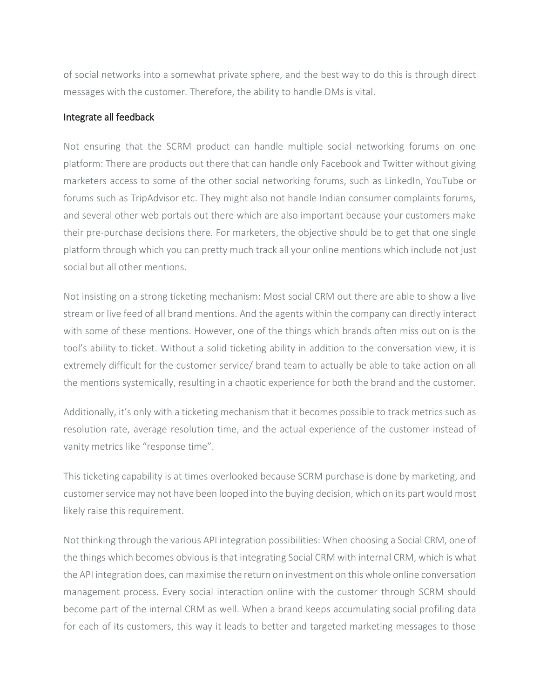of social networks into a somewhat private sphere, and the best way to do this is through direct messages with the customer. Therefore, the ability to handle DMs is vital.

## Integrate all feedback

Not ensuring that the SCRM product can handle multiple social networking forums on one platform: There are products out there that can handle only Facebook and Twitter without giving marketers access to some of the other social networking forums, such as LinkedIn, YouTube or forums such as TripAdvisor etc. They might also not handle Indian consumer complaints forums, and several other web portals out there which are also important because your customers make their pre-purchase decisions there. For marketers, the objective should be to get that one single platform through which you can pretty much track all your online mentions which include not just social but all other mentions.

Not insisting on a strong ticketing mechanism: Most social CRM out there are able to show a live stream or live feed of all brand mentions. And the agents within the company can directly interact with some of these mentions. However, one of the things which brands often miss out on is the tool's ability to ticket. Without a solid ticketing ability in addition to the conversation view, it is extremely difficult for the customer service/ brand team to actually be able to take action on all the mentions systemically, resulting in a chaotic experience for both the brand and the customer.

Additionally, it's only with a ticketing mechanism that it becomes possible to track metrics such as resolution rate, average resolution time, and the actual experience of the customer instead of vanity metrics like "response time".

This ticketing capability is at times overlooked because SCRM purchase is done by marketing, and customer service may not have been looped into the buying decision, which on its part would most likely raise this requirement.

Not thinking through the various API integration possibilities: When choosing a Social CRM, one of the things which becomes obvious is that integrating Social CRM with internal CRM, which is what the API integration does, can maximise the return on investment on this whole online conversation management process. Every social interaction online with the customer through SCRM should become part of the internal CRM as well. When a brand keeps accumulating social profiling data for each of its customers, this way it leads to better and targeted marketing messages to those